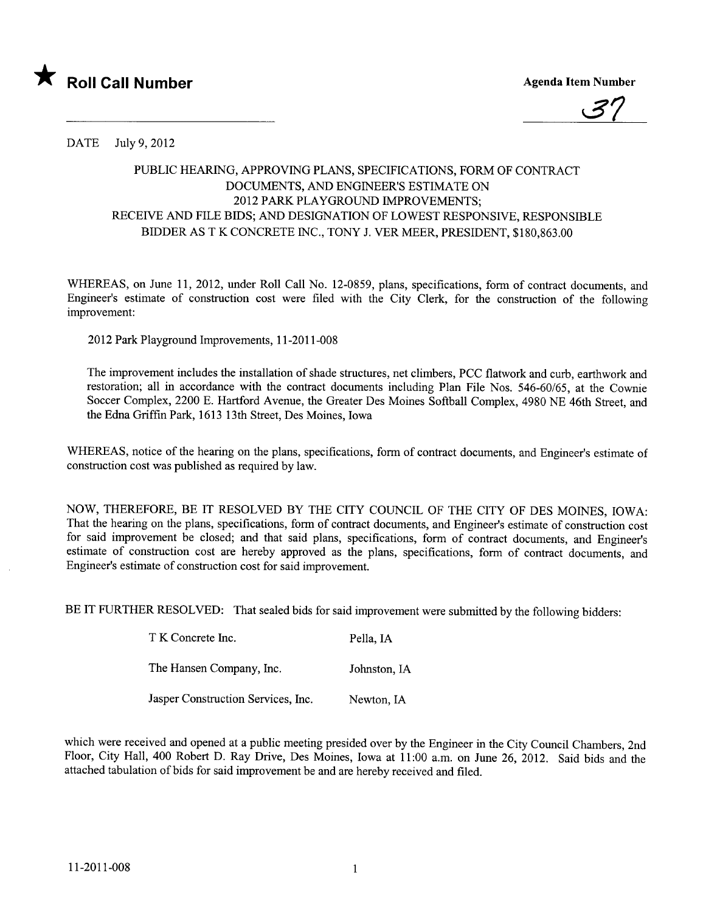



DATE July 9,2012

## PUBLIC HEARING, APPROVING PLANS, SPECIFICATIONS, FORM OF CONTRACT DOCUMENTS, AND ENGINEER'S ESTIMATE ON 2012 PARK PLAYGROUND IMPROVEMENTS; RECEIVE AND FILE BIDS; AND DESIGNATION OF LOWEST RESPONSIVE, RESPONSIBLE BIDDER AS T K CONCRETE INC., TONY J. VER MEER, PRESIDENT, \$180,863.00

WHEREAS, on June 11, 2012, under Roll Call No. 12-0859, plans, specifications, form of contract documents, and Engineer's estimate of construction cost were filed with the City Clerk, for the construction of the following improvement:

2012 Park Playground Improvements, 11-2011-008

The improvement includes the installation of shade structures, net climbers, PCC flatwork and curb, earthwork and restoration; all in accordance with the contract documents including Plan File Nos. 546-60/65, at the Cownie Soccer Complex, 2200 E. Hartford Avenue, the Greater Des Moines Softball Complex, 4980 NE 46th Street, and the Edna Griffin Park, 1613 13th Street, Des Moines, Iowa

WHEREAS, notice of the hearing on the plans, specifications, form of contract documents, and Engineer's estimate of construction cost was published as required by law.

NOW, THEREFORE, BE IT RESOLVED BY THE CITY COUNCIL OF THE CITY OF DES MOINES, IOWA: That the hearing on the plans, specifications, form of contract documents, and Engineer's estimate of construction cost for said improvement be closed; and that said plans, specifications, form of contract documents, and Engineer's estimate of construction cost are hereby approved as the plans, specifications, form of contract documents, and Engineer's estimate of construction cost for said improvement.

BE IT FURTHER RESOLVED: That sealed bids for said improvement were submitted by the following bidders:

| T K Concrete Inc.                  | Pella, IA    |
|------------------------------------|--------------|
| The Hansen Company, Inc.           | Johnston, IA |
| Jasper Construction Services, Inc. | Newton, IA   |

which were received and opened at a public meeting presided over by the Engineer in the City Council Chambers, 2nd Floor, City Hall, 400 Robert D. Ray Drive, Des Moines, Iowa at 11:00 a.m. on June 26, 2012. Said bids and the attached tabulation of bids for said improvement be and are hereby received and fied.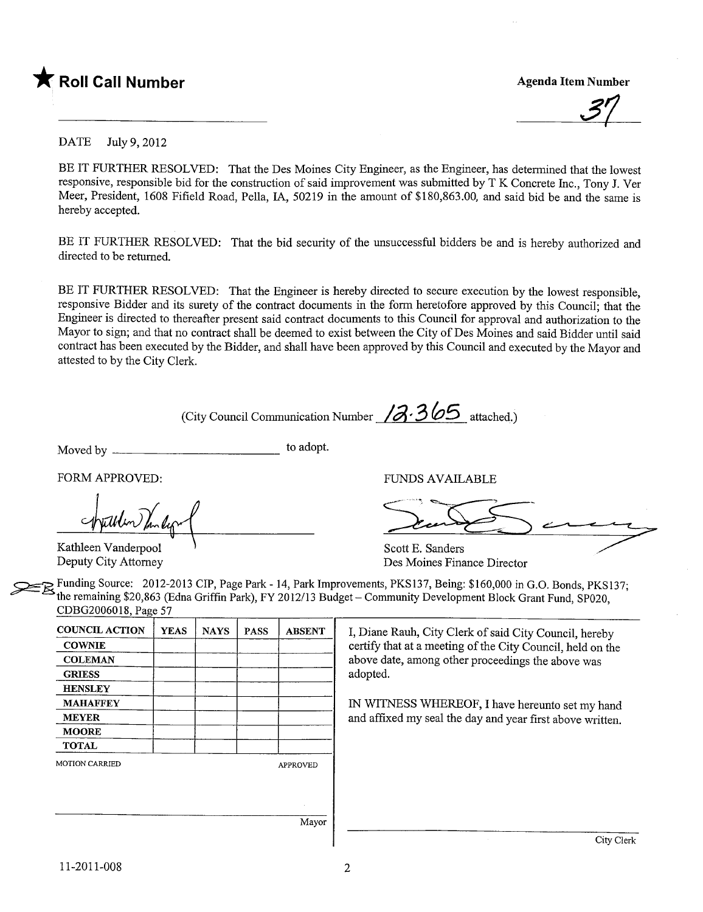

37

DATE July 9,2012

BE IT FURTHER RESOLVED: That the Des Moines City Engineer, as the Engineer, has determined that the lowest responsive, responsible bid for the construction of said improvement was submitted by T K Concrete Inc., Tony J. Ver Meer, President, 1608 Fifield Road, Pella, lA, 50219 in the amount of \$180,863.00, and said bid be and the same is hereby accepted.

BE IT FURTHER RESOLVED: That the bid security of the unsuccessful bidders be and is hereby authorized and directed to be returned.

BE IT FURTHER RESOLVED: That the Engineer is hereby directed to secure execution by the lowest responsible, responsive Bidder and its surety of the contract documents in the form heretofore approved by this Council; that the Engineer is directed to thereafter present said contract documents to this Council for approval and authorization to the Mayor to sign; and that no contract shall be deemed to exist between the City of Des Moines and said Bidder until said contract has been executed by the Bidder, and shall have been approved by this Council and executed by the Mayor and attested to by the City Clerk.

(City Council Communication Number  $/3.365$  attached.)

Moved by  $\frac{1}{\sqrt{1-\frac{1}{\sqrt{1-\frac{1}{\sqrt{1-\frac{1}{\sqrt{1-\frac{1}{\sqrt{1-\frac{1}{\sqrt{1-\frac{1}{\sqrt{1-\frac{1}{\sqrt{1-\frac{1}{\sqrt{1-\frac{1}{\sqrt{1-\frac{1}{\sqrt{1-\frac{1}{\sqrt{1-\frac{1}{\sqrt{1-\frac{1}{\sqrt{1-\frac{1}{\sqrt{1-\frac{1}{\sqrt{1-\frac{1}{\sqrt{1-\frac{1}{\sqrt{1-\frac{1}{\sqrt{1-\frac{1}{\sqrt{1-\frac{1}{\sqrt{1-\frac{1}{\sqrt{1-\frac{1}{\sqrt{1-\frac{1$ 

FORM APPROVED: FUNDS AVAILABLE

Apullen Vanderpool Kathleen Vanderpool Scott E. Sanders

~ Funding Source: 2012-2013 CIP, Page Park - 14, Park Improvements, PKS137, Being: \$160,000 in G.O. Bonds, PKSI37; the remaining \$20,863 (Edna Griffin Park), FY 2012/13 Budget - Community Development Block Grant Fund, SP020, CDBG2006018, Page 57

| <b>COUNCIL ACTION</b> | <b>YEAS</b> | <b>NAYS</b> | <b>PASS</b> | <b>ABSENT</b>   | I, Diane   |
|-----------------------|-------------|-------------|-------------|-----------------|------------|
| <b>COWNIE</b>         |             |             |             |                 | certify tl |
| <b>COLEMAN</b>        |             |             |             |                 | above da   |
| <b>GRIESS</b>         |             |             |             |                 | adopted.   |
| <b>HENSLEY</b>        |             |             |             |                 |            |
| <b>MAHAFFEY</b>       |             |             |             |                 | IN WIT     |
| <b>MEYER</b>          |             |             |             |                 | and affix  |
| <b>MOORE</b>          |             |             |             |                 |            |
| <b>TOTAL</b>          |             |             |             |                 |            |
| <b>MOTION CARRIED</b> |             |             |             | <b>APPROVED</b> |            |
|                       |             |             |             |                 |            |
|                       |             |             |             | Mayor           |            |

Diane Rauh, City Clerk of said City Council, hereby tify that at a meeting of the City Council, held on the by date, among other proceedings the above was

WITNESS WHEREOF, I have hereunto set my hand d affixed my seal the day and year first above written.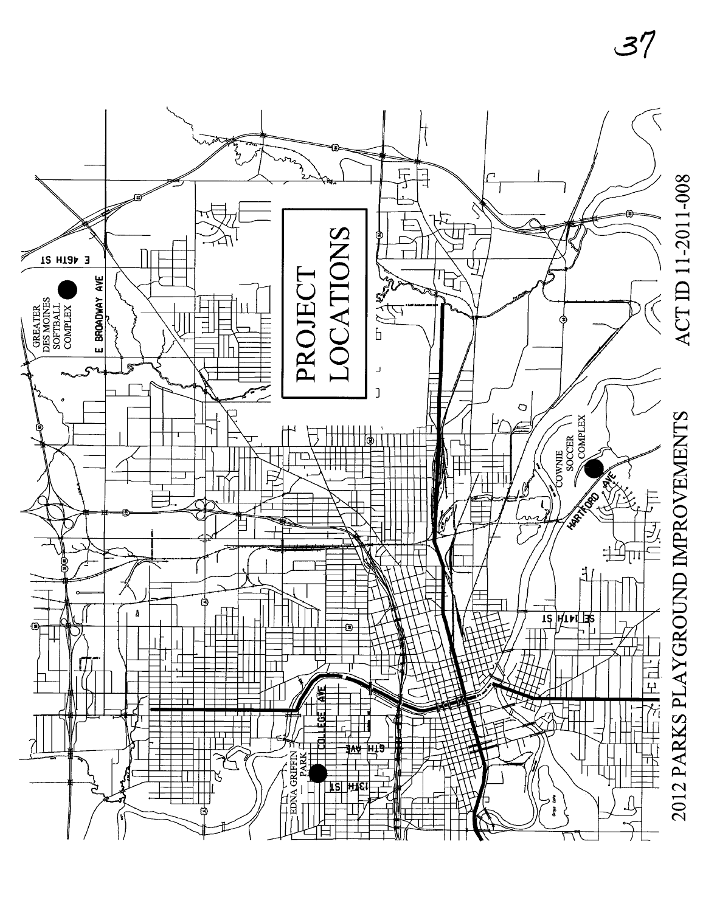